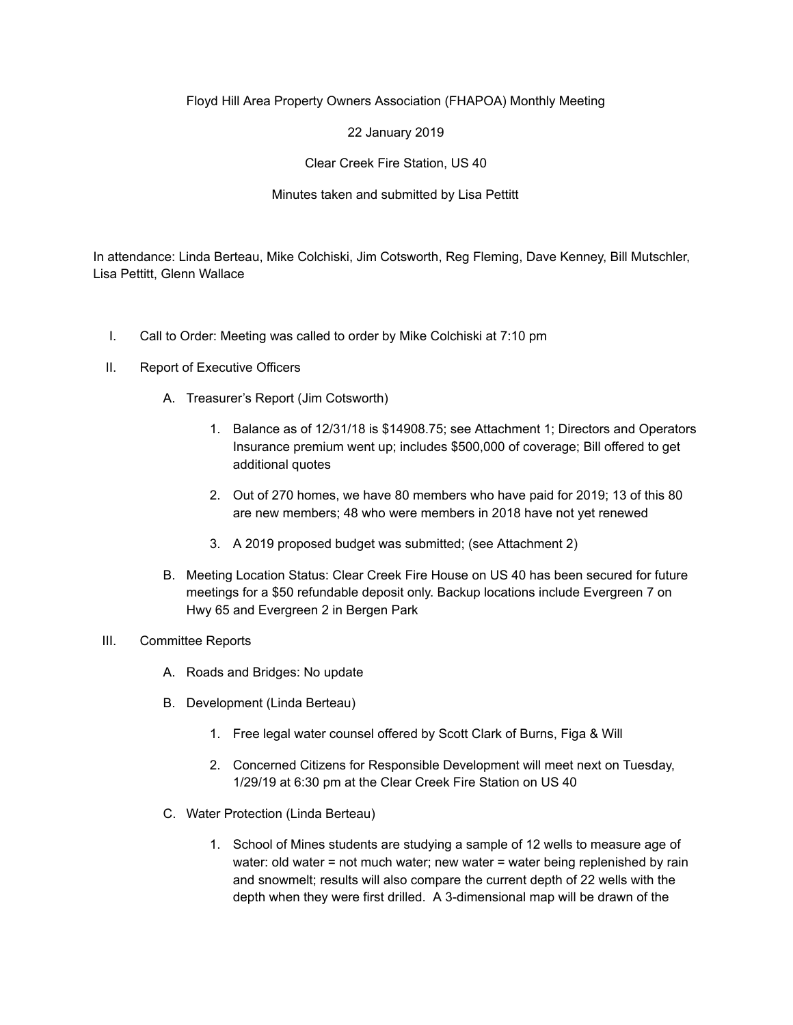## Floyd Hill Area Property Owners Association (FHAPOA) Monthly Meeting

22 January 2019

Clear Creek Fire Station, US 40

Minutes taken and submitted by Lisa Pettitt

In attendance: Linda Berteau, Mike Colchiski, Jim Cotsworth, Reg Fleming, Dave Kenney, Bill Mutschler, Lisa Pettitt, Glenn Wallace

- I. Call to Order: Meeting was called to order by Mike Colchiski at 7:10 pm
- II. Report of Executive Officers
	- A. Treasurer's Report (Jim Cotsworth)
		- 1. Balance as of 12/31/18 is \$14908.75; see Attachment 1; Directors and Operators Insurance premium went up; includes \$500,000 of coverage; Bill offered to get additional quotes
		- 2. Out of 270 homes, we have 80 members who have paid for 2019; 13 of this 80 are new members; 48 who were members in 2018 have not yet renewed
		- 3. A 2019 proposed budget was submitted; (see Attachment 2)
	- B. Meeting Location Status: Clear Creek Fire House on US 40 has been secured for future meetings for a \$50 refundable deposit only. Backup locations include Evergreen 7 on Hwy 65 and Evergreen 2 in Bergen Park
- III. Committee Reports
	- A. Roads and Bridges: No update
	- B. Development (Linda Berteau)
		- 1. Free legal water counsel offered by Scott Clark of Burns, Figa & Will
		- 2. Concerned Citizens for Responsible Development will meet next on Tuesday, 1/29/19 at 6:30 pm at the Clear Creek Fire Station on US 40
	- C. Water Protection (Linda Berteau)
		- 1. School of Mines students are studying a sample of 12 wells to measure age of water: old water = not much water; new water = water being replenished by rain and snowmelt; results will also compare the current depth of 22 wells with the depth when they were first drilled. A 3-dimensional map will be drawn of the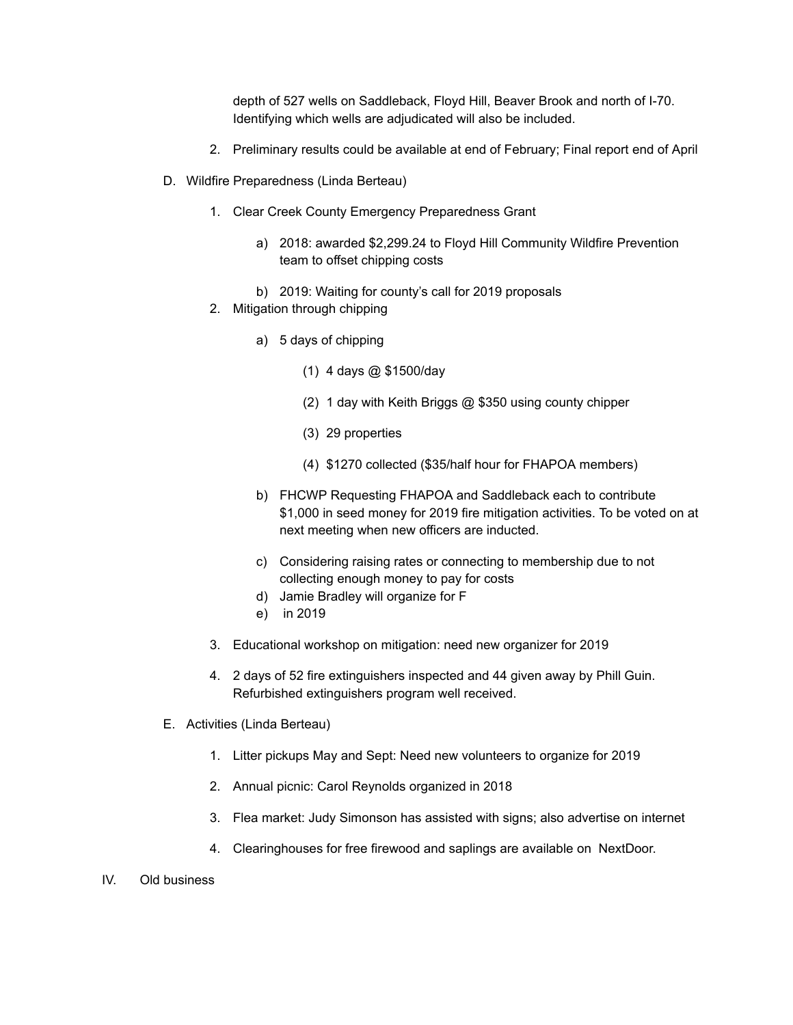depth of 527 wells on Saddleback, Floyd Hill, Beaver Brook and north of I-70. Identifying which wells are adjudicated will also be included.

- 2. Preliminary results could be available at end of February; Final report end of April
- D. Wildfire Preparedness (Linda Berteau)
	- 1. Clear Creek County Emergency Preparedness Grant
		- a) 2018: awarded \$2,299.24 to Floyd Hill Community Wildfire Prevention team to offset chipping costs
		- b) 2019: Waiting for county's call for 2019 proposals
	- 2. Mitigation through chipping
		- a) 5 days of chipping
			- (1) 4 days @ \$1500/day
			- (2) 1 day with Keith Briggs @ \$350 using county chipper
			- (3) 29 properties
			- (4) \$1270 collected (\$35/half hour for FHAPOA members)
		- b) FHCWP Requesting FHAPOA and Saddleback each to contribute \$1,000 in seed money for 2019 fire mitigation activities. To be voted on at next meeting when new officers are inducted.
		- c) Considering raising rates or connecting to membership due to not collecting enough money to pay for costs
		- d) Jamie Bradley will organize for F
		- e) in 2019
	- 3. Educational workshop on mitigation: need new organizer for 2019
	- 4. 2 days of 52 fire extinguishers inspected and 44 given away by Phill Guin. Refurbished extinguishers program well received.
- E. Activities (Linda Berteau)
	- 1. Litter pickups May and Sept: Need new volunteers to organize for 2019
	- 2. Annual picnic: Carol Reynolds organized in 2018
	- 3. Flea market: Judy Simonson has assisted with signs; also advertise on internet
	- 4. Clearinghouses for free firewood and saplings are available on NextDoor.
- IV. Old business